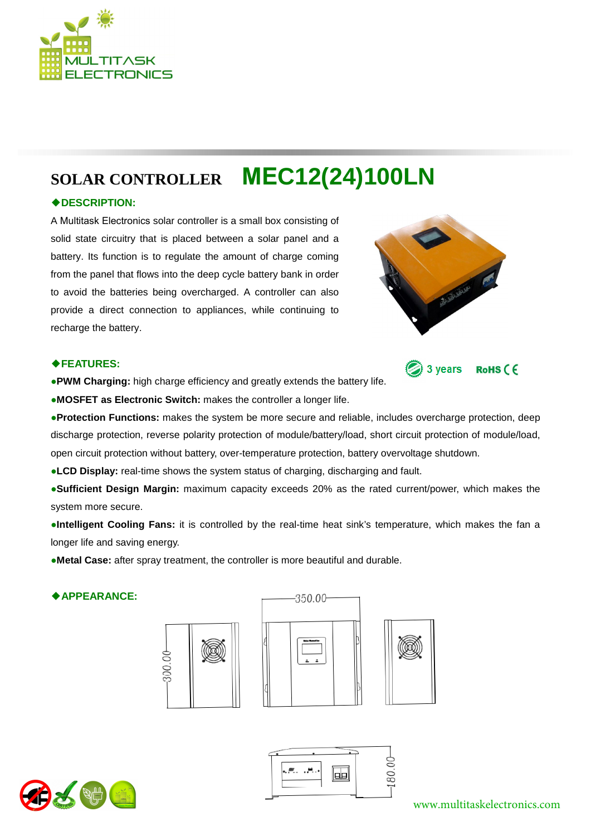

# **SOLAR CONTROLLER MEC12(24)100LN**

## ◆**DESCRIPTION:**

A Multitask Electronics solar controller is a small box consisting of solid state circuitry that is placed between a solar panel and a battery. Its function is to regulate the amount of charge coming from the panel that flows into the deep cycle battery bank in order to avoid the batteries being overcharged. A controller can also provide a direct connection to appliances, while continuing to recharge the battery.



3 years

RoHS (F

#### ◆**FEATURES:**

●**PWM Charging:** high charge efficiency and greatly extends the battery life.

●**MOSFET as Electronic Switch:** makes the controller a longer life.

●**Protection Functions:** makes the system be more secure and reliable, includes overcharge protection, deep discharge protection, reverse polarity protection of module/battery/load, short circuit protection of module/load, open circuit protection without battery, over-temperature protection, battery overvoltage shutdown.

●**LCD Display:** real-time shows the system status of charging, discharging and fault.

●**Sufficient Design Margin:** maximum capacity exceeds 20% as the rated current/power, which makes the system more secure.

●**Intelligent Cooling Fans:** it is controlled by the real-time heat sink's temperature, which makes the fan a longer life and saving energy.

●**Metal Case:** after spray treatment, the controller is more beautiful and durable.

### ◆**APPEARANCE:**











www.multitaskelectronics.com